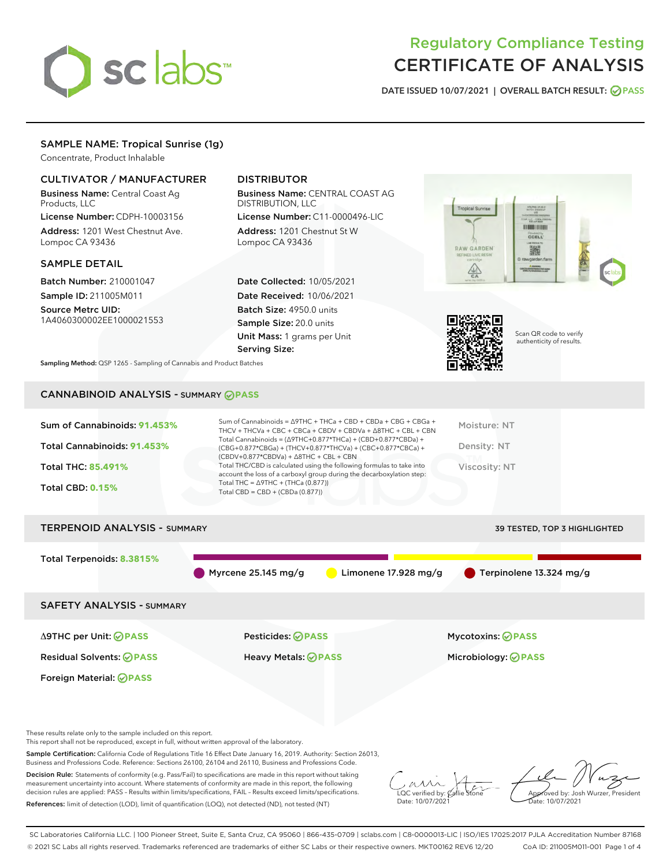

# Regulatory Compliance Testing CERTIFICATE OF ANALYSIS

DATE ISSUED 10/07/2021 | OVERALL BATCH RESULT: @ PASS

## SAMPLE NAME: Tropical Sunrise (1g)

Concentrate, Product Inhalable

#### CULTIVATOR / MANUFACTURER

Business Name: Central Coast Ag Products, LLC

License Number: CDPH-10003156 Address: 1201 West Chestnut Ave. Lompoc CA 93436

#### SAMPLE DETAIL

Batch Number: 210001047 Sample ID: 211005M011

Source Metrc UID: 1A4060300002EE1000021553

## DISTRIBUTOR

Business Name: CENTRAL COAST AG DISTRIBUTION, LLC

License Number: C11-0000496-LIC Address: 1201 Chestnut St W Lompoc CA 93436

Date Collected: 10/05/2021 Date Received: 10/06/2021 Batch Size: 4950.0 units Sample Size: 20.0 units Unit Mass: 1 grams per Unit Serving Size:





Scan QR code to verify authenticity of results.

Sampling Method: QSP 1265 - Sampling of Cannabis and Product Batches

# CANNABINOID ANALYSIS - SUMMARY **PASS**

| Sum of Cannabinoids: 91.453%<br>Total Cannabinoids: 91.453%<br><b>Total THC: 85,491%</b><br><b>Total CBD: 0.15%</b> | $(CBDV+0.877*CBDVa) + \Delta 8THC + CBL + CBN$<br>Total THC = $\triangle$ 9THC + (THCa (0.877))<br>Total CBD = $CBD + (CBDa (0.877))$ | Sum of Cannabinoids = $\triangle$ 9THC + THCa + CBD + CBDa + CBG + CBGa +<br>THCV + THCVa + CBC + CBCa + CBDV + CBDVa + $\Delta$ 8THC + CBL + CBN<br>Total Cannabinoids = $(\Delta$ 9THC+0.877*THCa) + (CBD+0.877*CBDa) +<br>(CBG+0.877*CBGa) + (THCV+0.877*THCVa) + (CBC+0.877*CBCa) +<br>Total THC/CBD is calculated using the following formulas to take into<br>account the loss of a carboxyl group during the decarboxylation step: | Moisture: NT<br>Density: NT<br>Viscosity: NT |
|---------------------------------------------------------------------------------------------------------------------|---------------------------------------------------------------------------------------------------------------------------------------|-------------------------------------------------------------------------------------------------------------------------------------------------------------------------------------------------------------------------------------------------------------------------------------------------------------------------------------------------------------------------------------------------------------------------------------------|----------------------------------------------|
| <b>TERPENOID ANALYSIS - SUMMARY</b>                                                                                 |                                                                                                                                       |                                                                                                                                                                                                                                                                                                                                                                                                                                           | <b>39 TESTED, TOP 3 HIGHLIGHTED</b>          |
| Total Terpenoids: 8.3815%                                                                                           | Myrcene $25.145$ mg/g                                                                                                                 | Limonene $17.928$ mg/g                                                                                                                                                                                                                                                                                                                                                                                                                    | $\blacksquare$ Terpinolene 13.324 mg/g       |
| <b>SAFETY ANALYSIS - SUMMARY</b>                                                                                    |                                                                                                                                       |                                                                                                                                                                                                                                                                                                                                                                                                                                           |                                              |
|                                                                                                                     |                                                                                                                                       |                                                                                                                                                                                                                                                                                                                                                                                                                                           |                                              |

Foreign Material: **PASS**

Δ9THC per Unit: **PASS** Pesticides: **PASS** Mycotoxins: **PASS**

Residual Solvents: **PASS** Heavy Metals: **PASS** Microbiology: **PASS**

These results relate only to the sample included on this report.

This report shall not be reproduced, except in full, without written approval of the laboratory.

Sample Certification: California Code of Regulations Title 16 Effect Date January 16, 2019. Authority: Section 26013, Business and Professions Code. Reference: Sections 26100, 26104 and 26110, Business and Professions Code.

Decision Rule: Statements of conformity (e.g. Pass/Fail) to specifications are made in this report without taking measurement uncertainty into account. Where statements of conformity are made in this report, the following decision rules are applied: PASS – Results within limits/specifications, FAIL – Results exceed limits/specifications. References: limit of detection (LOD), limit of quantification (LOQ), not detected (ND), not tested (NT)

 $\sim$  CC verified by:  $\mathscr{C}$  a Date: 10/07/2021

Approved by: Josh Wurzer, President ate: 10/07/2021

SC Laboratories California LLC. | 100 Pioneer Street, Suite E, Santa Cruz, CA 95060 | 866-435-0709 | sclabs.com | C8-0000013-LIC | ISO/IES 17025:2017 PJLA Accreditation Number 87168 © 2021 SC Labs all rights reserved. Trademarks referenced are trademarks of either SC Labs or their respective owners. MKT00162 REV6 12/20 CoA ID: 211005M011-001 Page 1 of 4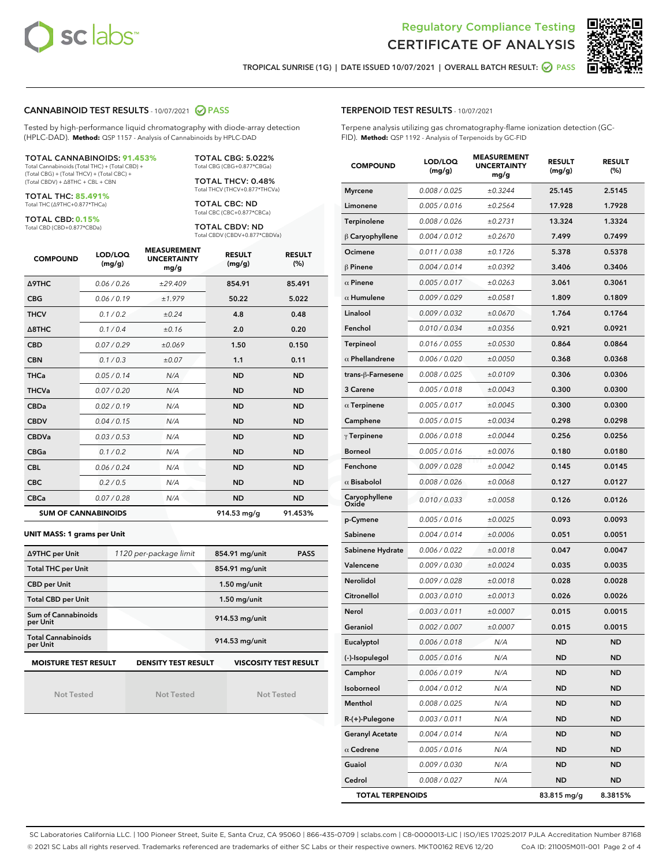



TROPICAL SUNRISE (1G) | DATE ISSUED 10/07/2021 | OVERALL BATCH RESULT: **○** PASS

#### CANNABINOID TEST RESULTS - 10/07/2021 2 PASS

Tested by high-performance liquid chromatography with diode-array detection (HPLC-DAD). **Method:** QSP 1157 - Analysis of Cannabinoids by HPLC-DAD

#### TOTAL CANNABINOIDS: **91.453%**

Total Cannabinoids (Total THC) + (Total CBD) + (Total CBG) + (Total THCV) + (Total CBC) + (Total CBDV) + ∆8THC + CBL + CBN

TOTAL THC: **85.491%** Total THC (∆9THC+0.877\*THCa)

TOTAL CBD: **0.15%**

Total CBD (CBD+0.877\*CBDa)

TOTAL CBG: 5.022% Total CBG (CBG+0.877\*CBGa)

TOTAL THCV: 0.48% Total THCV (THCV+0.877\*THCVa)

TOTAL CBC: ND Total CBC (CBC+0.877\*CBCa)

TOTAL CBDV: ND Total CBDV (CBDV+0.877\*CBDVa)

| <b>COMPOUND</b>  | LOD/LOQ<br>(mg/g)          | <b>MEASUREMENT</b><br><b>UNCERTAINTY</b><br>mg/g | <b>RESULT</b><br>(mg/g) | <b>RESULT</b><br>(%) |
|------------------|----------------------------|--------------------------------------------------|-------------------------|----------------------|
| <b>A9THC</b>     | 0.06 / 0.26                | ±29.409                                          | 854.91                  | 85.491               |
| <b>CBG</b>       | 0.06 / 0.19                | ±1.979                                           | 50.22                   | 5.022                |
| <b>THCV</b>      | 0.1 / 0.2                  | ±0.24                                            | 4.8                     | 0.48                 |
| $\triangle$ 8THC | 0.1/0.4                    | ±0.16                                            | 2.0                     | 0.20                 |
| <b>CBD</b>       | 0.07/0.29                  | ±0.069                                           | 1.50                    | 0.150                |
| <b>CBN</b>       | 0.1 / 0.3                  | ±0.07                                            | 1.1                     | 0.11                 |
| THCa             | 0.05/0.14                  | N/A                                              | <b>ND</b>               | <b>ND</b>            |
| <b>THCVa</b>     | 0.07/0.20                  | N/A                                              | <b>ND</b>               | <b>ND</b>            |
| <b>CBDa</b>      | 0.02/0.19                  | N/A                                              | <b>ND</b>               | <b>ND</b>            |
| <b>CBDV</b>      | 0.04 / 0.15                | N/A                                              | <b>ND</b>               | <b>ND</b>            |
| <b>CBDVa</b>     | 0.03/0.53                  | N/A                                              | <b>ND</b>               | <b>ND</b>            |
| <b>CBGa</b>      | 0.1/0.2                    | N/A                                              | <b>ND</b>               | <b>ND</b>            |
| <b>CBL</b>       | 0.06 / 0.24                | N/A                                              | <b>ND</b>               | <b>ND</b>            |
| <b>CBC</b>       | 0.2 / 0.5                  | N/A                                              | <b>ND</b>               | <b>ND</b>            |
| <b>CBCa</b>      | 0.07/0.28                  | N/A                                              | <b>ND</b>               | <b>ND</b>            |
|                  | <b>SUM OF CANNABINOIDS</b> |                                                  | 914.53 mg/g             | 91.453%              |

#### **UNIT MASS: 1 grams per Unit**

| ∆9THC per Unit                        | 1120 per-package limit     | 854.91 mg/unit<br><b>PASS</b> |
|---------------------------------------|----------------------------|-------------------------------|
| <b>Total THC per Unit</b>             |                            | 854.91 mg/unit                |
| <b>CBD per Unit</b>                   |                            | $1.50$ mg/unit                |
| <b>Total CBD per Unit</b>             |                            | $1.50$ mg/unit                |
| Sum of Cannabinoids<br>per Unit       |                            | 914.53 mg/unit                |
| <b>Total Cannabinoids</b><br>per Unit |                            | 914.53 mg/unit                |
| <b>MOISTURE TEST RESULT</b>           | <b>DENSITY TEST RESULT</b> | <b>VISCOSITY TEST RESULT</b>  |

Not Tested

Not Tested

Not Tested

#### TERPENOID TEST RESULTS - 10/07/2021

Terpene analysis utilizing gas chromatography-flame ionization detection (GC-FID). **Method:** QSP 1192 - Analysis of Terpenoids by GC-FID

| <b>COMPOUND</b>         | LOD/LOQ<br>(mg/g) | <b>MEASUREMENT</b><br><b>UNCERTAINTY</b><br>mg/g | <b>RESULT</b><br>(mg/g) | <b>RESULT</b><br>(%) |
|-------------------------|-------------------|--------------------------------------------------|-------------------------|----------------------|
| <b>Myrcene</b>          | 0.008 / 0.025     | ±0.3244                                          | 25.145                  | 2.5145               |
| Limonene                | 0.005 / 0.016     | ±0.2564                                          | 17.928                  | 1.7928               |
| Terpinolene             | 0.008 / 0.026     | ±0.2731                                          | 13.324                  | 1.3324               |
| $\beta$ Caryophyllene   | 0.004 / 0.012     | ±0.2670                                          | 7.499                   | 0.7499               |
| Ocimene                 | 0.011 / 0.038     | ±0.1726                                          | 5.378                   | 0.5378               |
| $\beta$ Pinene          | 0.004 / 0.014     | ±0.0392                                          | 3.406                   | 0.3406               |
| $\alpha$ Pinene         | 0.005 / 0.017     | ±0.0263                                          | 3.061                   | 0.3061               |
| $\alpha$ Humulene       | 0.009/0.029       | ±0.0581                                          | 1.809                   | 0.1809               |
| Linalool                | 0.009 / 0.032     | ±0.0670                                          | 1.764                   | 0.1764               |
| Fenchol                 | 0.010 / 0.034     | ±0.0356                                          | 0.921                   | 0.0921               |
| <b>Terpineol</b>        | 0.016 / 0.055     | ±0.0530                                          | 0.864                   | 0.0864               |
| $\alpha$ Phellandrene   | 0.006 / 0.020     | ±0.0050                                          | 0.368                   | 0.0368               |
| trans-ß-Farnesene       | 0.008 / 0.025     | ±0.0109                                          | 0.306                   | 0.0306               |
| 3 Carene                | 0.005 / 0.018     | ±0.0043                                          | 0.300                   | 0.0300               |
| $\alpha$ Terpinene      | 0.005 / 0.017     | ±0.0045                                          | 0.300                   | 0.0300               |
| Camphene                | 0.005 / 0.015     | ±0.0034                                          | 0.298                   | 0.0298               |
| $\gamma$ Terpinene      | 0.006 / 0.018     | ±0.0044                                          | 0.256                   | 0.0256               |
| <b>Borneol</b>          | 0.005 / 0.016     | ±0.0076                                          | 0.180                   | 0.0180               |
| Fenchone                | 0.009 / 0.028     | ±0.0042                                          | 0.145                   | 0.0145               |
| $\alpha$ Bisabolol      | 0.008 / 0.026     | ±0.0068                                          | 0.127                   | 0.0127               |
| Caryophyllene<br>Oxide  | 0.010 / 0.033     | ±0.0058                                          | 0.126                   | 0.0126               |
| p-Cymene                | 0.005 / 0.016     | ±0.0025                                          | 0.093                   | 0.0093               |
| Sabinene                | 0.004 / 0.014     | ±0.0006                                          | 0.051                   | 0.0051               |
| Sabinene Hydrate        | 0.006 / 0.022     | ±0.0018                                          | 0.047                   | 0.0047               |
| Valencene               | 0.009 / 0.030     | ±0.0024                                          | 0.035                   | 0.0035               |
| Nerolidol               | 0.009 / 0.028     | ±0.0018                                          | 0.028                   | 0.0028               |
| Citronellol             | 0.003 / 0.010     | ±0.0013                                          | 0.026                   | 0.0026               |
| Nerol                   | 0.003 / 0.011     | ±0.0007                                          | 0.015                   | 0.0015               |
| Geraniol                | 0.002 / 0.007     | ±0.0007                                          | 0.015                   | 0.0015               |
| Eucalyptol              | 0.006 / 0.018     | N/A                                              | <b>ND</b>               | <b>ND</b>            |
| (-)-Isopulegol          | 0.005 / 0.016     | N/A                                              | ND                      | ND                   |
| Camphor                 | 0.006 / 0.019     | N/A                                              | <b>ND</b>               | <b>ND</b>            |
| Isoborneol              | 0.004 / 0.012     | N/A                                              | <b>ND</b>               | <b>ND</b>            |
| Menthol                 | 0.008 / 0.025     | N/A                                              | ND                      | ND                   |
| $R-(+)$ -Pulegone       | 0.003 / 0.011     | N/A                                              | ND                      | ND                   |
| <b>Geranyl Acetate</b>  | 0.004 / 0.014     | N/A                                              | <b>ND</b>               | <b>ND</b>            |
| $\alpha$ Cedrene        | 0.005 / 0.016     | N/A                                              | ND                      | ND                   |
| Guaiol                  | 0.009 / 0.030     | N/A                                              | ND                      | <b>ND</b>            |
| Cedrol                  | 0.008 / 0.027     | N/A                                              | <b>ND</b>               | <b>ND</b>            |
| <b>TOTAL TERPENOIDS</b> |                   |                                                  | 83.815 mg/g             | 8.3815%              |

SC Laboratories California LLC. | 100 Pioneer Street, Suite E, Santa Cruz, CA 95060 | 866-435-0709 | sclabs.com | C8-0000013-LIC | ISO/IES 17025:2017 PJLA Accreditation Number 87168 © 2021 SC Labs all rights reserved. Trademarks referenced are trademarks of either SC Labs or their respective owners. MKT00162 REV6 12/20 CoA ID: 211005M011-001 Page 2 of 4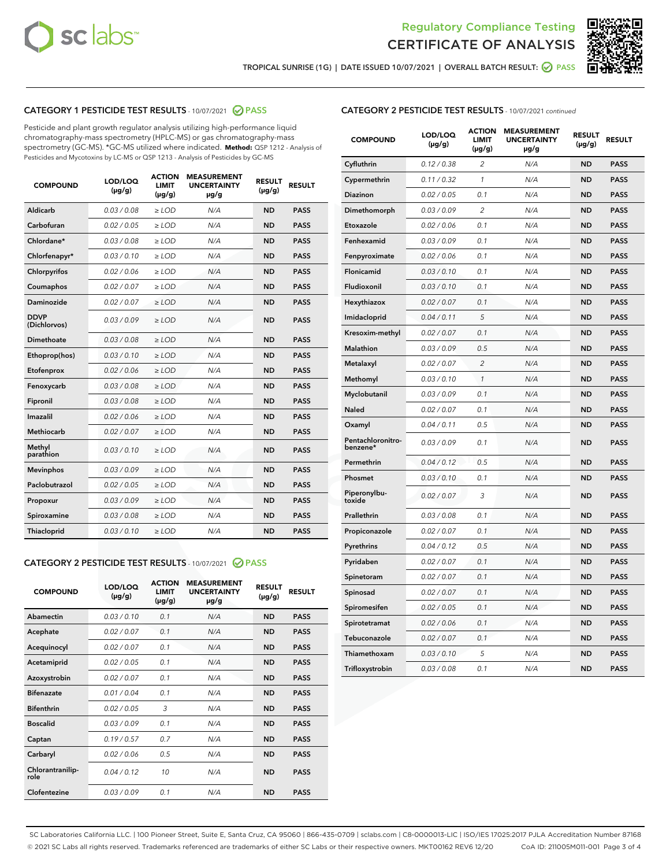



TROPICAL SUNRISE (1G) | DATE ISSUED 10/07/2021 | OVERALL BATCH RESULT:  $\bigcirc$  PASS

#### CATEGORY 1 PESTICIDE TEST RESULTS - 10/07/2021 @ PASS

Pesticide and plant growth regulator analysis utilizing high-performance liquid chromatography-mass spectrometry (HPLC-MS) or gas chromatography-mass spectrometry (GC-MS). \*GC-MS utilized where indicated. **Method:** QSP 1212 - Analysis of Pesticides and Mycotoxins by LC-MS or QSP 1213 - Analysis of Pesticides by GC-MS

| Aldicarb<br>0.03 / 0.08<br>$\geq$ LOD<br><b>ND</b><br><b>PASS</b><br>N/A<br>Carbofuran<br>0.02 / 0.05<br>$>$ LOD<br>N/A<br><b>ND</b><br><b>PASS</b><br>Chlordane*<br>0.03 / 0.08<br>$\ge$ LOD<br>N/A<br><b>ND</b><br><b>PASS</b><br>Chlorfenapyr*<br>0.03/0.10<br>$>$ LOD<br>N/A<br><b>ND</b><br><b>PASS</b><br>Chlorpyrifos<br>0.02 / 0.06<br>N/A<br><b>ND</b><br><b>PASS</b><br>≥ LOD<br><b>PASS</b><br>Coumaphos<br>0.02 / 0.07<br>$\ge$ LOD<br>N/A<br><b>ND</b><br>Daminozide<br>0.02 / 0.07<br>N/A<br><b>ND</b><br><b>PASS</b><br>$\geq$ LOD<br><b>DDVP</b><br>0.03/0.09<br><b>ND</b><br><b>PASS</b><br>$\geq$ LOD<br>N/A<br>(Dichlorvos)<br>Dimethoate<br>0.03 / 0.08<br>N/A<br><b>ND</b><br><b>PASS</b><br>$>$ LOD<br>Ethoprop(hos)<br>0.03/0.10<br>$\ge$ LOD<br>N/A<br><b>ND</b><br><b>PASS</b><br>N/A<br>0.02 / 0.06<br>$>$ LOD<br><b>ND</b><br><b>PASS</b><br>Etofenprox<br>0.03 / 0.08<br>N/A<br><b>ND</b><br><b>PASS</b><br>Fenoxycarb<br>$\geq$ LOD<br>0.03/0.08<br>$>$ LOD<br>N/A<br><b>ND</b><br><b>PASS</b><br>Fipronil<br>0.02 / 0.06<br>N/A<br>Imazalil<br>$\geq$ LOD<br><b>ND</b><br><b>PASS</b><br><b>Methiocarb</b><br>0.02 / 0.07<br>$\ge$ LOD<br>N/A<br><b>ND</b><br><b>PASS</b><br>Methyl<br>0.03/0.10<br>N/A<br><b>ND</b><br><b>PASS</b><br>$\geq$ LOD<br>parathion<br><b>Mevinphos</b><br>0.03/0.09<br>$>$ LOD<br>N/A<br><b>ND</b><br><b>PASS</b><br>Paclobutrazol<br>0.02 / 0.05<br>$\geq$ LOD<br>N/A<br><b>ND</b><br><b>PASS</b><br>0.03/0.09<br>$\ge$ LOD<br>N/A<br><b>ND</b><br><b>PASS</b><br>Propoxur<br>Spiroxamine<br>0.03 / 0.08<br>$\ge$ LOD<br>N/A<br><b>ND</b><br><b>PASS</b><br>Thiacloprid<br>0.03/0.10<br>N/A<br><b>ND</b><br><b>PASS</b><br>$\geq$ LOD | <b>COMPOUND</b> | LOD/LOQ<br>$(\mu g/g)$ | <b>ACTION</b><br><b>LIMIT</b><br>$(\mu g/g)$ | <b>MEASUREMENT</b><br><b>UNCERTAINTY</b><br>µg/g | <b>RESULT</b><br>$(\mu g/g)$ | <b>RESULT</b> |
|--------------------------------------------------------------------------------------------------------------------------------------------------------------------------------------------------------------------------------------------------------------------------------------------------------------------------------------------------------------------------------------------------------------------------------------------------------------------------------------------------------------------------------------------------------------------------------------------------------------------------------------------------------------------------------------------------------------------------------------------------------------------------------------------------------------------------------------------------------------------------------------------------------------------------------------------------------------------------------------------------------------------------------------------------------------------------------------------------------------------------------------------------------------------------------------------------------------------------------------------------------------------------------------------------------------------------------------------------------------------------------------------------------------------------------------------------------------------------------------------------------------------------------------------------------------------------------------------------------------------------------------------------------------------------------------------------|-----------------|------------------------|----------------------------------------------|--------------------------------------------------|------------------------------|---------------|
|                                                                                                                                                                                                                                                                                                                                                                                                                                                                                                                                                                                                                                                                                                                                                                                                                                                                                                                                                                                                                                                                                                                                                                                                                                                                                                                                                                                                                                                                                                                                                                                                                                                                                                  |                 |                        |                                              |                                                  |                              |               |
|                                                                                                                                                                                                                                                                                                                                                                                                                                                                                                                                                                                                                                                                                                                                                                                                                                                                                                                                                                                                                                                                                                                                                                                                                                                                                                                                                                                                                                                                                                                                                                                                                                                                                                  |                 |                        |                                              |                                                  |                              |               |
|                                                                                                                                                                                                                                                                                                                                                                                                                                                                                                                                                                                                                                                                                                                                                                                                                                                                                                                                                                                                                                                                                                                                                                                                                                                                                                                                                                                                                                                                                                                                                                                                                                                                                                  |                 |                        |                                              |                                                  |                              |               |
|                                                                                                                                                                                                                                                                                                                                                                                                                                                                                                                                                                                                                                                                                                                                                                                                                                                                                                                                                                                                                                                                                                                                                                                                                                                                                                                                                                                                                                                                                                                                                                                                                                                                                                  |                 |                        |                                              |                                                  |                              |               |
|                                                                                                                                                                                                                                                                                                                                                                                                                                                                                                                                                                                                                                                                                                                                                                                                                                                                                                                                                                                                                                                                                                                                                                                                                                                                                                                                                                                                                                                                                                                                                                                                                                                                                                  |                 |                        |                                              |                                                  |                              |               |
|                                                                                                                                                                                                                                                                                                                                                                                                                                                                                                                                                                                                                                                                                                                                                                                                                                                                                                                                                                                                                                                                                                                                                                                                                                                                                                                                                                                                                                                                                                                                                                                                                                                                                                  |                 |                        |                                              |                                                  |                              |               |
|                                                                                                                                                                                                                                                                                                                                                                                                                                                                                                                                                                                                                                                                                                                                                                                                                                                                                                                                                                                                                                                                                                                                                                                                                                                                                                                                                                                                                                                                                                                                                                                                                                                                                                  |                 |                        |                                              |                                                  |                              |               |
|                                                                                                                                                                                                                                                                                                                                                                                                                                                                                                                                                                                                                                                                                                                                                                                                                                                                                                                                                                                                                                                                                                                                                                                                                                                                                                                                                                                                                                                                                                                                                                                                                                                                                                  |                 |                        |                                              |                                                  |                              |               |
|                                                                                                                                                                                                                                                                                                                                                                                                                                                                                                                                                                                                                                                                                                                                                                                                                                                                                                                                                                                                                                                                                                                                                                                                                                                                                                                                                                                                                                                                                                                                                                                                                                                                                                  |                 |                        |                                              |                                                  |                              |               |
|                                                                                                                                                                                                                                                                                                                                                                                                                                                                                                                                                                                                                                                                                                                                                                                                                                                                                                                                                                                                                                                                                                                                                                                                                                                                                                                                                                                                                                                                                                                                                                                                                                                                                                  |                 |                        |                                              |                                                  |                              |               |
|                                                                                                                                                                                                                                                                                                                                                                                                                                                                                                                                                                                                                                                                                                                                                                                                                                                                                                                                                                                                                                                                                                                                                                                                                                                                                                                                                                                                                                                                                                                                                                                                                                                                                                  |                 |                        |                                              |                                                  |                              |               |
|                                                                                                                                                                                                                                                                                                                                                                                                                                                                                                                                                                                                                                                                                                                                                                                                                                                                                                                                                                                                                                                                                                                                                                                                                                                                                                                                                                                                                                                                                                                                                                                                                                                                                                  |                 |                        |                                              |                                                  |                              |               |
|                                                                                                                                                                                                                                                                                                                                                                                                                                                                                                                                                                                                                                                                                                                                                                                                                                                                                                                                                                                                                                                                                                                                                                                                                                                                                                                                                                                                                                                                                                                                                                                                                                                                                                  |                 |                        |                                              |                                                  |                              |               |
|                                                                                                                                                                                                                                                                                                                                                                                                                                                                                                                                                                                                                                                                                                                                                                                                                                                                                                                                                                                                                                                                                                                                                                                                                                                                                                                                                                                                                                                                                                                                                                                                                                                                                                  |                 |                        |                                              |                                                  |                              |               |
|                                                                                                                                                                                                                                                                                                                                                                                                                                                                                                                                                                                                                                                                                                                                                                                                                                                                                                                                                                                                                                                                                                                                                                                                                                                                                                                                                                                                                                                                                                                                                                                                                                                                                                  |                 |                        |                                              |                                                  |                              |               |
|                                                                                                                                                                                                                                                                                                                                                                                                                                                                                                                                                                                                                                                                                                                                                                                                                                                                                                                                                                                                                                                                                                                                                                                                                                                                                                                                                                                                                                                                                                                                                                                                                                                                                                  |                 |                        |                                              |                                                  |                              |               |
|                                                                                                                                                                                                                                                                                                                                                                                                                                                                                                                                                                                                                                                                                                                                                                                                                                                                                                                                                                                                                                                                                                                                                                                                                                                                                                                                                                                                                                                                                                                                                                                                                                                                                                  |                 |                        |                                              |                                                  |                              |               |
|                                                                                                                                                                                                                                                                                                                                                                                                                                                                                                                                                                                                                                                                                                                                                                                                                                                                                                                                                                                                                                                                                                                                                                                                                                                                                                                                                                                                                                                                                                                                                                                                                                                                                                  |                 |                        |                                              |                                                  |                              |               |
|                                                                                                                                                                                                                                                                                                                                                                                                                                                                                                                                                                                                                                                                                                                                                                                                                                                                                                                                                                                                                                                                                                                                                                                                                                                                                                                                                                                                                                                                                                                                                                                                                                                                                                  |                 |                        |                                              |                                                  |                              |               |
|                                                                                                                                                                                                                                                                                                                                                                                                                                                                                                                                                                                                                                                                                                                                                                                                                                                                                                                                                                                                                                                                                                                                                                                                                                                                                                                                                                                                                                                                                                                                                                                                                                                                                                  |                 |                        |                                              |                                                  |                              |               |
|                                                                                                                                                                                                                                                                                                                                                                                                                                                                                                                                                                                                                                                                                                                                                                                                                                                                                                                                                                                                                                                                                                                                                                                                                                                                                                                                                                                                                                                                                                                                                                                                                                                                                                  |                 |                        |                                              |                                                  |                              |               |

#### CATEGORY 2 PESTICIDE TEST RESULTS - 10/07/2021 @ PASS

| <b>COMPOUND</b>          | LOD/LOQ<br>$(\mu g/g)$ | <b>ACTION</b><br><b>LIMIT</b><br>$(\mu g/g)$ | <b>MEASUREMENT</b><br><b>UNCERTAINTY</b><br>$\mu$ g/g | <b>RESULT</b><br>$(\mu g/g)$ | <b>RESULT</b> |
|--------------------------|------------------------|----------------------------------------------|-------------------------------------------------------|------------------------------|---------------|
| Abamectin                | 0.03/0.10              | 0.1                                          | N/A                                                   | <b>ND</b>                    | <b>PASS</b>   |
| Acephate                 | 0.02/0.07              | 0.1                                          | N/A                                                   | <b>ND</b>                    | <b>PASS</b>   |
| Acequinocyl              | 0.02/0.07              | 0.1                                          | N/A                                                   | <b>ND</b>                    | <b>PASS</b>   |
| Acetamiprid              | 0.02 / 0.05            | 0.1                                          | N/A                                                   | <b>ND</b>                    | <b>PASS</b>   |
| Azoxystrobin             | 0.02/0.07              | 0.1                                          | N/A                                                   | <b>ND</b>                    | <b>PASS</b>   |
| <b>Bifenazate</b>        | 0.01/0.04              | 0.1                                          | N/A                                                   | <b>ND</b>                    | <b>PASS</b>   |
| <b>Bifenthrin</b>        | 0.02 / 0.05            | 3                                            | N/A                                                   | <b>ND</b>                    | <b>PASS</b>   |
| <b>Boscalid</b>          | 0.03/0.09              | 0.1                                          | N/A                                                   | <b>ND</b>                    | <b>PASS</b>   |
| Captan                   | 0.19/0.57              | 0.7                                          | N/A                                                   | <b>ND</b>                    | <b>PASS</b>   |
| Carbaryl                 | 0.02/0.06              | 0.5                                          | N/A                                                   | <b>ND</b>                    | <b>PASS</b>   |
| Chlorantranilip-<br>role | 0.04/0.12              | 10                                           | N/A                                                   | <b>ND</b>                    | <b>PASS</b>   |
| Clofentezine             | 0.03/0.09              | 0.1                                          | N/A                                                   | <b>ND</b>                    | <b>PASS</b>   |

#### CATEGORY 2 PESTICIDE TEST RESULTS - 10/07/2021 continued

| <b>COMPOUND</b>               | LOD/LOQ<br>(µg/g) | <b>ACTION</b><br><b>LIMIT</b><br>(µg/g) | <b>MEASUREMENT</b><br><b>UNCERTAINTY</b><br>µg/g | <b>RESULT</b><br>(µg/g) | <b>RESULT</b> |
|-------------------------------|-------------------|-----------------------------------------|--------------------------------------------------|-------------------------|---------------|
| Cyfluthrin                    | 0.12 / 0.38       | $\overline{c}$                          | N/A                                              | <b>ND</b>               | <b>PASS</b>   |
| Cypermethrin                  | 0.11/0.32         | 1                                       | N/A                                              | <b>ND</b>               | <b>PASS</b>   |
| <b>Diazinon</b>               | 0.02 / 0.05       | 0.1                                     | N/A                                              | <b>ND</b>               | <b>PASS</b>   |
| Dimethomorph                  | 0.03 / 0.09       | 2                                       | N/A                                              | <b>ND</b>               | <b>PASS</b>   |
| Etoxazole                     | 0.02 / 0.06       | 0.1                                     | N/A                                              | <b>ND</b>               | <b>PASS</b>   |
| Fenhexamid                    | 0.03 / 0.09       | 0.1                                     | N/A                                              | <b>ND</b>               | <b>PASS</b>   |
| Fenpyroximate                 | 0.02 / 0.06       | 0.1                                     | N/A                                              | <b>ND</b>               | <b>PASS</b>   |
| Flonicamid                    | 0.03 / 0.10       | 0.1                                     | N/A                                              | ND                      | <b>PASS</b>   |
| Fludioxonil                   | 0.03 / 0.10       | 0.1                                     | N/A                                              | <b>ND</b>               | <b>PASS</b>   |
| Hexythiazox                   | 0.02 / 0.07       | 0.1                                     | N/A                                              | <b>ND</b>               | <b>PASS</b>   |
| Imidacloprid                  | 0.04 / 0.11       | 5                                       | N/A                                              | <b>ND</b>               | <b>PASS</b>   |
| Kresoxim-methyl               | 0.02 / 0.07       | 0.1                                     | N/A                                              | <b>ND</b>               | <b>PASS</b>   |
| <b>Malathion</b>              | 0.03 / 0.09       | 0.5                                     | N/A                                              | <b>ND</b>               | <b>PASS</b>   |
| Metalaxyl                     | 0.02 / 0.07       | 2                                       | N/A                                              | <b>ND</b>               | <b>PASS</b>   |
| Methomyl                      | 0.03 / 0.10       | 1                                       | N/A                                              | <b>ND</b>               | <b>PASS</b>   |
| Myclobutanil                  | 0.03 / 0.09       | 0.1                                     | N/A                                              | <b>ND</b>               | <b>PASS</b>   |
| Naled                         | 0.02 / 0.07       | 0.1                                     | N/A                                              | <b>ND</b>               | <b>PASS</b>   |
| Oxamyl                        | 0.04 / 0.11       | 0.5                                     | N/A                                              | <b>ND</b>               | <b>PASS</b>   |
| Pentachloronitro-<br>benzene* | 0.03 / 0.09       | 0.1                                     | N/A                                              | ND                      | <b>PASS</b>   |
| Permethrin                    | 0.04 / 0.12       | 0.5                                     | N/A                                              | <b>ND</b>               | <b>PASS</b>   |
| Phosmet                       | 0.03 / 0.10       | 0.1                                     | N/A                                              | <b>ND</b>               | <b>PASS</b>   |
| Piperonylbu-<br>toxide        | 0.02 / 0.07       | 3                                       | N/A                                              | <b>ND</b>               | <b>PASS</b>   |
| Prallethrin                   | 0.03 / 0.08       | 0.1                                     | N/A                                              | <b>ND</b>               | <b>PASS</b>   |
| Propiconazole                 | 0.02 / 0.07       | 0.1                                     | N/A                                              | <b>ND</b>               | <b>PASS</b>   |
| Pyrethrins                    | 0.04 / 0.12       | 0.5                                     | N/A                                              | <b>ND</b>               | <b>PASS</b>   |
| Pyridaben                     | 0.02 / 0.07       | 0.1                                     | N/A                                              | <b>ND</b>               | <b>PASS</b>   |
| Spinetoram                    | 0.02 / 0.07       | 0.1                                     | N/A                                              | <b>ND</b>               | <b>PASS</b>   |
| Spinosad                      | 0.02 / 0.07       | 0.1                                     | N/A                                              | <b>ND</b>               | <b>PASS</b>   |
| Spiromesifen                  | 0.02 / 0.05       | 0.1                                     | N/A                                              | <b>ND</b>               | <b>PASS</b>   |
| Spirotetramat                 | 0.02 / 0.06       | 0.1                                     | N/A                                              | <b>ND</b>               | <b>PASS</b>   |
| Tebuconazole                  | 0.02 / 0.07       | 0.1                                     | N/A                                              | <b>ND</b>               | <b>PASS</b>   |
| Thiamethoxam                  | 0.03 / 0.10       | 5                                       | N/A                                              | <b>ND</b>               | <b>PASS</b>   |
| Trifloxystrobin               | 0.03 / 0.08       | 0.1                                     | N/A                                              | <b>ND</b>               | <b>PASS</b>   |

SC Laboratories California LLC. | 100 Pioneer Street, Suite E, Santa Cruz, CA 95060 | 866-435-0709 | sclabs.com | C8-0000013-LIC | ISO/IES 17025:2017 PJLA Accreditation Number 87168 © 2021 SC Labs all rights reserved. Trademarks referenced are trademarks of either SC Labs or their respective owners. MKT00162 REV6 12/20 CoA ID: 211005M011-001 Page 3 of 4